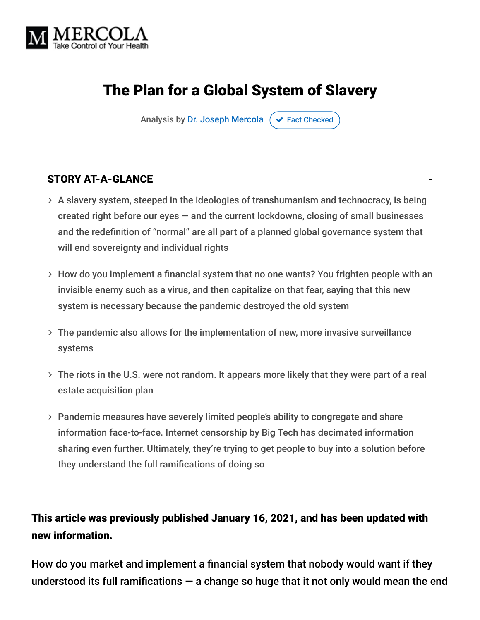

# The Plan for a Global System of Slavery

Analysis by [Dr. Joseph Mercola](https://www.mercola.com/forms/background.htm)  $\sigma$  [Fact Checked](javascript:void(0))

#### STORY AT-A-GLANCE

- $>$  A slavery system, steeped in the ideologies of transhumanism and technocracy, is being created right before our eyes  $-$  and the current lockdowns, closing of small businesses and the redefinition of "normal" are all part of a planned global governance system that will end sovereignty and individual rights
- How do you implement a financial system that no one wants? You frighten people with an invisible enemy such as a virus, and then capitalize on that fear, saying that this new system is necessary because the pandemic destroyed the old system
- The pandemic also allows for the implementation of new, more invasive surveillance systems
- The riots in the U.S. were not random. It appears more likely that they were part of a real estate acquisition plan
- Pandemic measures have severely limited people's ability to congregate and share information face-to-face. Internet censorship by Big Tech has decimated information sharing even further. Ultimately, they're trying to get people to buy into a solution before they understand the full ramifications of doing so

#### This article was previously published January 16, 2021, and has been updated with new information.

How do you market and implement a financial system that nobody would want if they understood its full ramifications  $-$  a change so huge that it not only would mean the end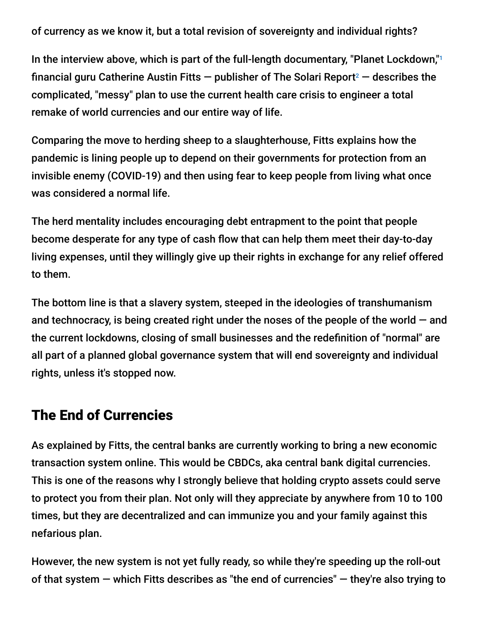of currency as we know it, but a total revision of sovereignty and individual rights?

In the interview above, which is part of the full-length documentary, "Planet Lockdown," 1 financial guru Catherine Austin Fitts  $-$  publisher of The Solari Report<sup>2</sup>  $-$  describes the complicated, "messy" plan to use the current health care crisis to engineer a total remake of world currencies and our entire way of life.

Comparing the move to herding sheep to a slaughterhouse, Fitts explains how the pandemic is lining people up to depend on their governments for protection from an invisible enemy (COVID-19) and then using fear to keep people from living what once was considered a normal life.

The herd mentality includes encouraging debt entrapment to the point that people become desperate for any type of cash flow that can help them meet their day-to-day living expenses, until they willingly give up their rights in exchange for any relief offered to them.

The bottom line is that a slavery system, steeped in the ideologies of transhumanism and technocracy, is being created right under the noses of the people of the world  $-$  and the current lockdowns, closing of small businesses and the redefinition of "normal" are all part of a planned global governance system that will end sovereignty and individual rights, unless it's stopped now.

## The End of Currencies

As explained by Fitts, the central banks are currently working to bring a new economic transaction system online. This would be CBDCs, aka central bank digital currencies. This is one of the reasons why I strongly believe that holding crypto assets could serve to protect you from their plan. Not only will they appreciate by anywhere from 10 to 100 times, but they are decentralized and can immunize you and your family against this nefarious plan.

However, the new system is not yet fully ready, so while they're speeding up the roll-out of that system  $-$  which Fitts describes as "the end of currencies"  $-$  they're also trying to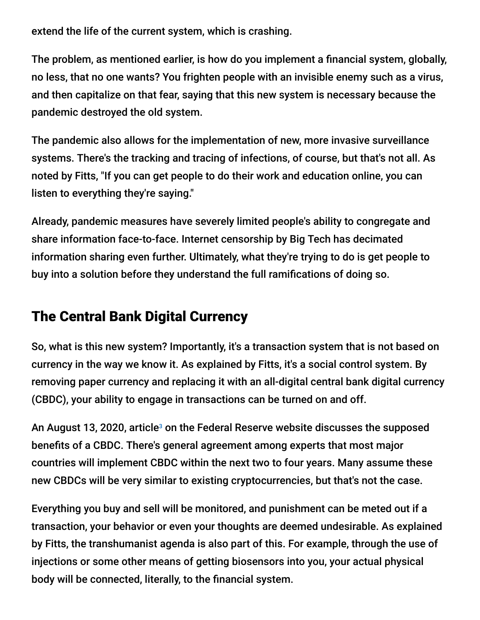extend the life of the current system, which is crashing.

The problem, as mentioned earlier, is how do you implement a financial system, globally, no less, that no one wants? You frighten people with an invisible enemy such as a virus, and then capitalize on that fear, saying that this new system is necessary because the pandemic destroyed the old system.

The pandemic also allows for the implementation of new, more invasive surveillance systems. There's the tracking and tracing of infections, of course, but that's not all. As noted by Fitts, "If you can get people to do their work and education online, you can listen to everything they're saying."

Already, pandemic measures have severely limited people's ability to congregate and share information face-to-face. Internet censorship by Big Tech has decimated information sharing even further. Ultimately, what they're trying to do is get people to buy into a solution before they understand the full ramifications of doing so.

# The Central Bank Digital Currency

So, what is this new system? Importantly, it's a transaction system that is not based on currency in the way we know it. As explained by Fitts, it's a social control system. By removing paper currency and replacing it with an all-digital central bank digital currency (CBDC), your ability to engage in transactions can be turned on and off.

An August 13, 2020, article<sup>3</sup> on the Federal Reserve website discusses the supposed benefits of a CBDC. There's general agreement among experts that most major countries will implement CBDC within the next two to four years. Many assume these new CBDCs will be very similar to existing cryptocurrencies, but that's not the case.

Everything you buy and sell will be monitored, and punishment can be meted out if a transaction, your behavior or even your thoughts are deemed undesirable. As explained by Fitts, the transhumanist agenda is also part of this. For example, through the use of injections or some other means of getting biosensors into you, your actual physical body will be connected, literally, to the financial system.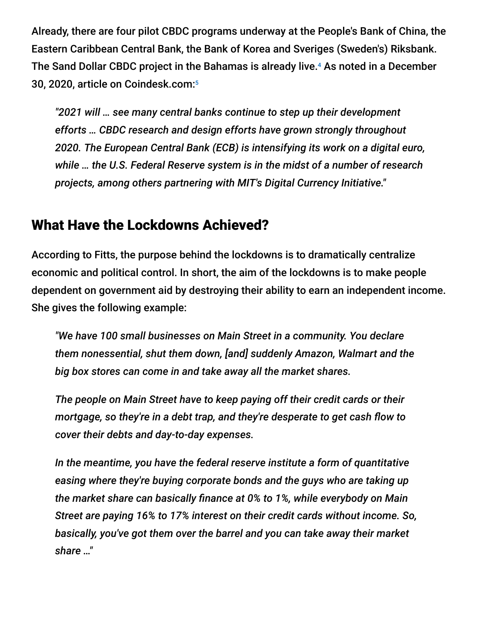Already, there are four pilot CBDC programs underway at the People's Bank of China, the Eastern Caribbean Central Bank, the Bank of Korea and Sveriges (Sweden's) Riksbank. The Sand Dollar CBDC project in the Bahamas is already live.<sup>4</sup> As noted in a December 30, 2020, article on Coindesk.com: 5

*"2021 will … see many central banks continue to step up their development efforts … CBDC research and design efforts have grown strongly throughout 2020. The European Central Bank (ECB) is intensifying its work on a digital euro, while … the U.S. Federal Reserve system is in the midst of a number of research projects, among others partnering with MIT's Digital Currency Initiative."*

### What Have the Lockdowns Achieved?

According to Fitts, the purpose behind the lockdowns is to dramatically centralize economic and political control. In short, the aim of the lockdowns is to make people dependent on government aid by destroying their ability to earn an independent income. She gives the following example:

*"We have 100 small businesses on Main Street in a community. You declare them nonessential, shut them down, [and] suddenly Amazon, Walmart and the big box stores can come in and take away all the market shares.*

*The people on Main Street have to keep paying off their credit cards or their mortgage, so they're in a debt trap, and they're desperate to get cash flow to cover their debts and day-to-day expenses.*

*In the meantime, you have the federal reserve institute a form of quantitative easing where they're buying corporate bonds and the guys who are taking up the market share can basically finance at 0% to 1%, while everybody on Main Street are paying 16% to 17% interest on their credit cards without income. So, basically, you've got them over the barrel and you can take away their market share …"*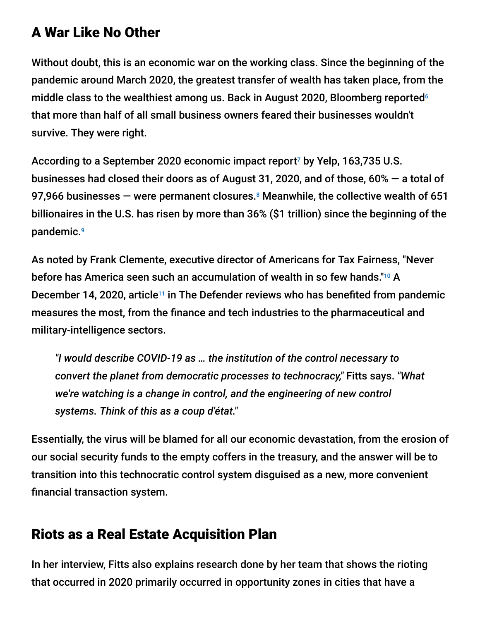## A War Like No Other

Without doubt, this is an economic war on the working class. Since the beginning of the pandemic around March 2020, the greatest transfer of wealth has taken place, from the middle class to the wealthiest among us. Back in August 2020, Bloomberg reported 6 that more than half of all small business owners feared their businesses wouldn't survive. They were right.

According to a September 2020 economic impact report<sup>7</sup> by Yelp, 163,735 U.S. businesses had closed their doors as of August 31, 2020, and of those, 60% — a total of 97,966 businesses  $-$  were permanent closures. $8$  Meanwhile, the collective wealth of 651 billionaires in the U.S. has risen by more than 36% (\$1 trillion) since the beginning of the pandemic. 9

As noted by Frank Clemente, executive director of Americans for Tax Fairness, "Never before has America seen such an accumulation of wealth in so few hands."10 A December 14, 2020, article<sup>11</sup> in The Defender reviews who has benefited from pandemic measures the most, from the finance and tech industries to the pharmaceutical and military-intelligence sectors.

*"I would describe COVID-19 as … the institution of the control necessary to convert the planet from democratic processes to technocracy,"* Fitts says. *"What we're watching is a change in control, and the engineering of new control systems. Think of this as a coup d'état."*

Essentially, the virus will be blamed for all our economic devastation, from the erosion of our social security funds to the empty coffers in the treasury, and the answer will be to transition into this technocratic control system disguised as a new, more convenient financial transaction system.

# Riots as a Real Estate Acquisition Plan

In her interview, Fitts also explains research done by her team that shows the rioting that occurred in 2020 primarily occurred in opportunity zones in cities that have a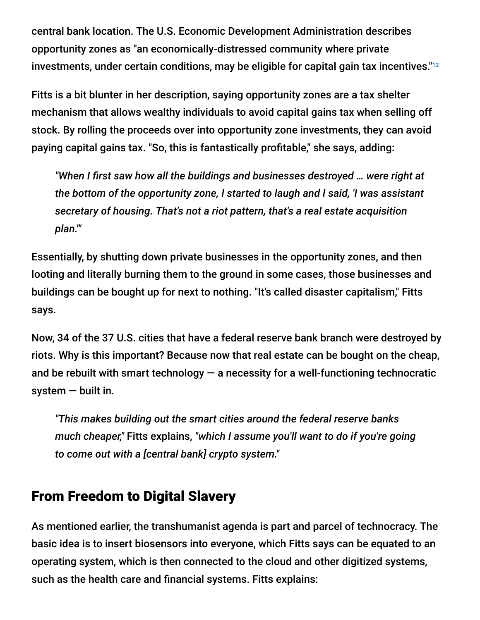central bank location. The U.S. Economic Development Administration describes opportunity zones as "an economically-distressed community where private investments, under certain conditions, may be eligible for capital gain tax incentives." $^{\scriptscriptstyle\rm 12}$ 

Fitts is a bit blunter in her description, saying opportunity zones are a tax shelter mechanism that allows wealthy individuals to avoid capital gains tax when selling off stock. By rolling the proceeds over into opportunity zone investments, they can avoid paying capital gains tax. "So, this is fantastically profitable," she says, adding:

*"When I first saw how all the buildings and businesses destroyed … were right at the bottom of the opportunity zone, I started to laugh and I said, 'I was assistant secretary of housing. That's not a riot pattern, that's a real estate acquisition plan.'"*

Essentially, by shutting down private businesses in the opportunity zones, and then looting and literally burning them to the ground in some cases, those businesses and buildings can be bought up for next to nothing. "It's called disaster capitalism," Fitts says.

Now, 34 of the 37 U.S. cities that have a federal reserve bank branch were destroyed by riots. Why is this important? Because now that real estate can be bought on the cheap, and be rebuilt with smart technology  $-$  a necessity for a well-functioning technocratic system — built in.

*"This makes building out the smart cities around the federal reserve banks much cheaper,"* Fitts explains, *"which I assume you'll want to do if you're going to come out with a [central bank] crypto system."*

# From Freedom to Digital Slavery

As mentioned earlier, the transhumanist agenda is part and parcel of technocracy. The basic idea is to insert biosensors into everyone, which Fitts says can be equated to an operating system, which is then connected to the cloud and other digitized systems, such as the health care and financial systems. Fitts explains: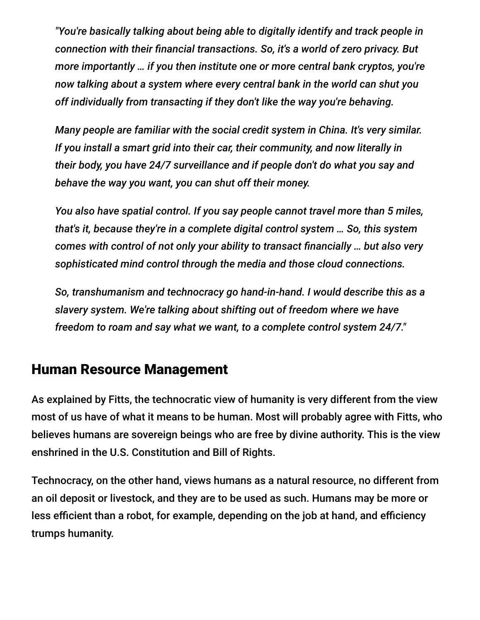*"You're basically talking about being able to digitally identify and track people in connection with their financial transactions. So, it's a world of zero privacy. But more importantly … if you then institute one or more central bank cryptos, you're now talking about a system where every central bank in the world can shut you off individually from transacting if they don't like the way you're behaving.*

*Many people are familiar with the social credit system in China. It's very similar. If you install a smart grid into their car, their community, and now literally in their body, you have 24/7 surveillance and if people don't do what you say and behave the way you want, you can shut off their money.*

*You also have spatial control. If you say people cannot travel more than 5 miles, that's it, because they're in a complete digital control system … So, this system comes with control of not only your ability to transact financially … but also very sophisticated mind control through the media and those cloud connections.*

*So, transhumanism and technocracy go hand-in-hand. I would describe this as a slavery system. We're talking about shifting out of freedom where we have freedom to roam and say what we want, to a complete control system 24/7."*

### Human Resource Management

As explained by Fitts, the technocratic view of humanity is very different from the view most of us have of what it means to be human. Most will probably agree with Fitts, who believes humans are sovereign beings who are free by divine authority. This is the view enshrined in the U.S. Constitution and Bill of Rights.

Technocracy, on the other hand, views humans as a natural resource, no different from an oil deposit or livestock, and they are to be used as such. Humans may be more or less efficient than a robot, for example, depending on the job at hand, and efficiency trumps humanity.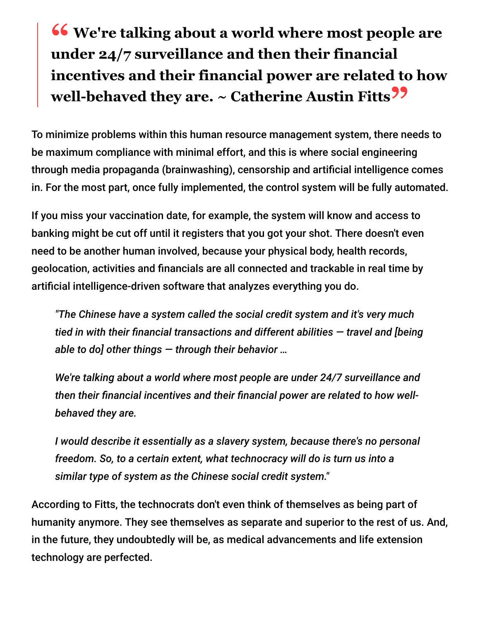# **<sup>66</sup>** We're talking about a world where most people are under 24/7 surveillance and then their financial **under 24/7 surveillance and then their financial incentives and their financial power are related to how well-behaved they are. ~ Catherine Austin Fitts"**

To minimize problems within this human resource management system, there needs to be maximum compliance with minimal effort, and this is where social engineering through media propaganda (brainwashing), censorship and artificial intelligence comes in. For the most part, once fully implemented, the control system will be fully automated.

If you miss your vaccination date, for example, the system will know and access to banking might be cut off until it registers that you got your shot. There doesn't even need to be another human involved, because your physical body, health records, geolocation, activities and financials are all connected and trackable in real time by artificial intelligence-driven software that analyzes everything you do.

*"The Chinese have a system called the social credit system and it's very much tied in with their financial transactions and different abilities — travel and [being able to do] other things — through their behavior …*

*We're talking about a world where most people are under 24/7 surveillance and then their financial incentives and their financial power are related to how wellbehaved they are.*

*I would describe it essentially as a slavery system, because there's no personal freedom. So, to a certain extent, what technocracy will do is turn us into a similar type of system as the Chinese social credit system."*

According to Fitts, the technocrats don't even think of themselves as being part of humanity anymore. They see themselves as separate and superior to the rest of us. And, in the future, they undoubtedly will be, as medical advancements and life extension technology are perfected.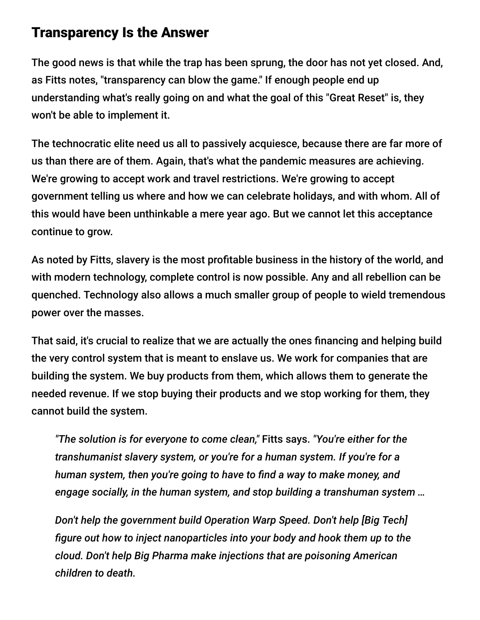### Transparency Is the Answer

The good news is that while the trap has been sprung, the door has not yet closed. And, as Fitts notes, "transparency can blow the game." If enough people end up understanding what's really going on and what the goal of this "Great Reset" is, they won't be able to implement it.

The technocratic elite need us all to passively acquiesce, because there are far more of us than there are of them. Again, that's what the pandemic measures are achieving. We're growing to accept work and travel restrictions. We're growing to accept government telling us where and how we can celebrate holidays, and with whom. All of this would have been unthinkable a mere year ago. But we cannot let this acceptance continue to grow.

As noted by Fitts, slavery is the most profitable business in the history of the world, and with modern technology, complete control is now possible. Any and all rebellion can be quenched. Technology also allows a much smaller group of people to wield tremendous power over the masses.

That said, it's crucial to realize that we are actually the ones financing and helping build the very control system that is meant to enslave us. We work for companies that are building the system. We buy products from them, which allows them to generate the needed revenue. If we stop buying their products and we stop working for them, they cannot build the system.

*"The solution is for everyone to come clean,"* Fitts says. *"You're either for the transhumanist slavery system, or you're for a human system. If you're for a human system, then you're going to have to find a way to make money, and engage socially, in the human system, and stop building a transhuman system …*

*Don't help the government build Operation Warp Speed. Don't help [Big Tech] figure out how to inject nanoparticles into your body and hook them up to the cloud. Don't help Big Pharma make injections that are poisoning American children to death.*